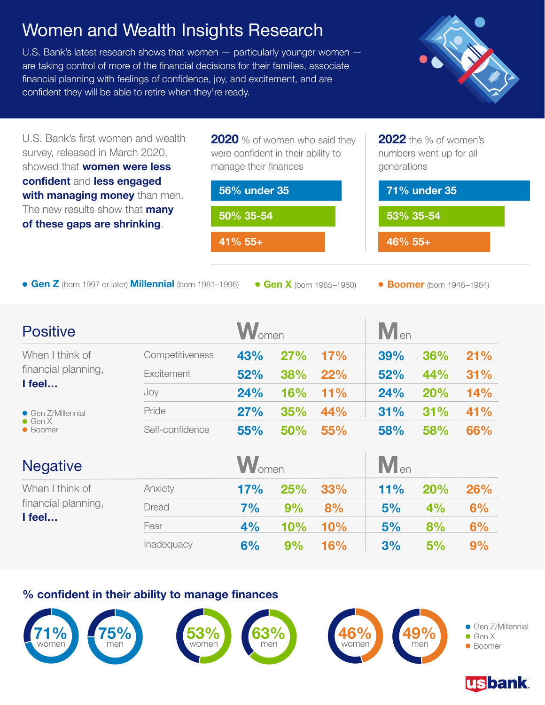## Women and Wealth Insights Research

U.S. Bank's latest research shows that women — particularly younger women are taking control of more of the financial decisions for their families, associate financial planning with feelings of confidence, joy, and excitement, and are confident they will be able to retire when they're ready.



U.S. Bank's first women and wealth survey, released in March 2020, showed that **women were less confident** and **less engaged with managing money** than men. The new results show that **many of these gaps are shrinking**.

**2020** % of women who said they were confident in their ability to manage their finances

**41% 55+ 56% under 35 50% 35-54**

**Gen Z** (born 1997 or later) **Millennial** (born 1981–1996) **Can X** (born 1965–1980) **Boomer** (born 1946–1964)

**2022** the % of women's numbers went up for all

**71% under 35**

generations

**46% 55+**

**53% 35-54**

| <b>Positive</b>                                           | <b>W</b> <sub>omen</sub> |     |            | $M_{en}$ |     |     |     |
|-----------------------------------------------------------|--------------------------|-----|------------|----------|-----|-----|-----|
| When I think of<br>financial planning,<br>I feel          | Competitiveness          | 43% |            | 27% 17%  | 39% | 36% | 21% |
|                                                           | Excitement               | 52% | <b>38%</b> | 22%      | 52% | 44% | 31% |
|                                                           | Joy                      | 24% | 16%        | $11\%$   | 24% | 20% | 14% |
| $\bullet$ Gen Z/Millennial<br>$\bullet$ Gen X<br>• Boomer | Pride                    | 27% | 35%        | 44%      | 31% | 31% | 41% |
|                                                           | Self-confidence          | 55% | <b>50%</b> | 55%      | 58% | 58% | 66% |

| <b>Negative</b>                                  |            |     | <b>W</b> <sub>omen</sub> |         |     | $M_{en}$   |            |  |
|--------------------------------------------------|------------|-----|--------------------------|---------|-----|------------|------------|--|
| When I think of<br>financial planning,<br>I feel | Anxiety    | 17% |                          | 25% 33% | 11% | <b>20%</b> | <b>26%</b> |  |
|                                                  | Dread      | 7%  | 9%                       | 8%      | 5%  | 4%         | 6%         |  |
|                                                  | Fear       | 4%  | 10%                      | 10%     | 5%  | 8%         | 6%         |  |
|                                                  | Inadequacy | 6%  | 9%                       | 16%     | 3%  | 5%         | 9%         |  |

## **% confident in their ability to manage finances**



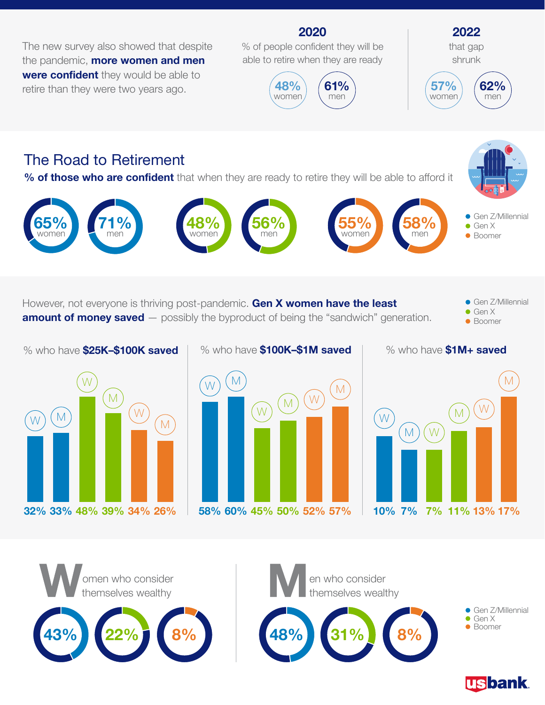The new survey also showed that despite the pandemic, **more women and men were confident** they would be able to retire than they were two years ago.

% of people confident they will be able to retire when they are ready

**2020**



**55%** women



## The Road to Retirement

**71%** men

**65%** women

**% of those who are confident** that when they are ready to retire they will be able to afford it

**48%** women



**Gen Z/Millennial** Gen X **Boomer** 

However, not everyone is thriving post-pandemic. **Gen X women have the least amount of money saved** — possibly the byproduct of being the "sandwich" generation. **Gen Z/Millennial** ● Gen X **Boomer** 

 $M$ W M W M **32% 33% 48% 39% 34% 26%**

% who have **\$25K–\$100K saved**

% who have **\$100K–\$1M saved**

**56%** men



% who have **\$1M+ saved**

**58%** men